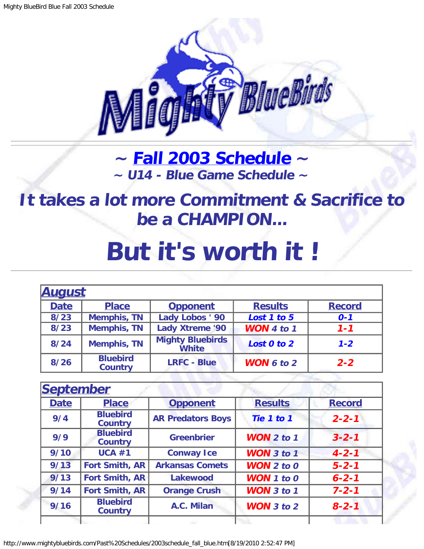

## **~ [Fall 2003 Schedule](#page-0-0) ~ ~ U14 - Blue Game Schedule ~**

<span id="page-0-1"></span>**It takes a lot more Commitment & Sacrifice to be a CHAMPION...**

## **But it's worth it !**

<span id="page-0-0"></span>

| <b>August</b> |                                   |                                         |                       |               |
|---------------|-----------------------------------|-----------------------------------------|-----------------------|---------------|
| <b>Date</b>   | <b>Place</b>                      | <b>Opponent</b>                         | <b>Results</b>        | <b>Record</b> |
| 8/23          | <b>Memphis, TN</b>                | Lady Lobos ' 90                         | Lost 1 to 5           | $0 - 1$       |
| 8/23          | <b>Memphis, TN</b>                | <b>Lady Xtreme '90</b>                  | <b>WON</b> 4 to 1     | $1 - 1$       |
| 8/24          | <b>Memphis, TN</b>                | <b>Mighty Bluebirds</b><br><b>White</b> | Lost 0 to 2           | $1 - 2$       |
| 8/26          | <b>Bluebird</b><br><b>Country</b> | <b>LRFC - Blue</b>                      | <b>WON</b> $6$ to $2$ | $2 - 2$       |

|             | <b>September</b>                  |                          |                       |               |
|-------------|-----------------------------------|--------------------------|-----------------------|---------------|
| <b>Date</b> | <b>Place</b>                      | <b>Opponent</b>          | <b>Results</b>        | <b>Record</b> |
| 9/4         | <b>Bluebird</b><br><b>Country</b> | <b>AR Predators Boys</b> | Tie 1 to 1            | $2 - 2 - 1$   |
| 9/9         | <b>Bluebird</b><br><b>Country</b> | <b>Greenbrier</b>        | <b>WON</b> $2$ to $1$ | $3 - 2 - 1$   |
| 9/10        | UCA #1                            | <b>Conway Ice</b>        | <b>WON</b> $3$ to $1$ | $4 - 2 - 1$   |
| 9/13        | <b>Fort Smith, AR</b>             | <b>Arkansas Comets</b>   | <b>WON</b> $2$ to $0$ | $5 - 2 - 1$   |
| 9/13        | <b>Fort Smith, AR</b>             | Lakewood                 | <b>WON</b> 1 to 0     | $6 - 2 - 1$   |
| 9/14        | <b>Fort Smith, AR</b>             | <b>Orange Crush</b>      | <b>WON</b> 3 to 1     | $7 - 2 - 1$   |
| 9/16        | <b>Bluebird</b><br><b>Country</b> | A.C. Milan               | WON $3$ to $2$        | $8 - 2 - 1$   |
|             |                                   |                          |                       |               |

http://www.mightybluebirds.com/Past%20Schedules/2003schedule\_fall\_blue.htm[8/19/2010 2:52:47 PM]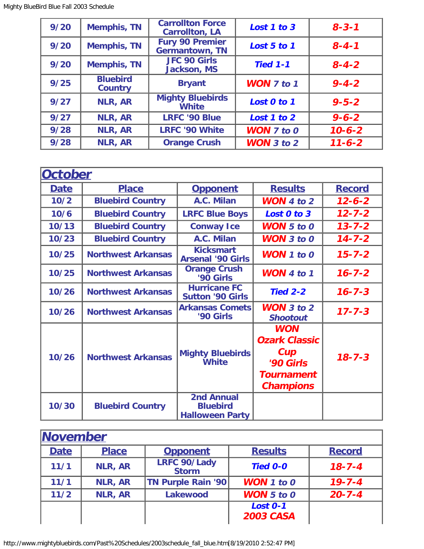| 9/20 | <b>Memphis, TN</b>                | <b>Carrollton Force</b><br><b>Carrollton, LA</b> | Lost 1 to 3       | $8 - 3 - 1$  |
|------|-----------------------------------|--------------------------------------------------|-------------------|--------------|
| 9/20 | <b>Memphis, TN</b>                | <b>Fury 90 Premier</b><br><b>Germantown, TN</b>  | Lost 5 to 1       | $8 - 4 - 1$  |
| 9/20 | <b>Memphis, TN</b>                | JFC 90 Girls<br><b>Jackson, MS</b>               | <b>Tied 1-1</b>   | $8 - 4 - 2$  |
| 9/25 | <b>Bluebird</b><br><b>Country</b> | <b>Bryant</b>                                    | <b>WON 7 to 1</b> | $9 - 4 - 2$  |
| 9/27 | NLR, AR                           | <b>Mighty Bluebirds</b><br><b>White</b>          | Lost 0 to 1       | $9 - 5 - 2$  |
| 9/27 | <b>NLR, AR</b>                    | <b>LRFC '90 Blue</b>                             | Lost 1 to 2       | $9 - 6 - 2$  |
| 9/28 | NLR, AR                           | <b>LRFC '90 White</b>                            | <b>WON 7 to 0</b> | $10 - 6 - 2$ |
| 9/28 | <b>NLR, AR</b>                    | <b>Orange Crush</b>                              | <b>WON</b> 3 to 2 | $11 - 6 - 2$ |

| <b>October</b> |                           |                                                                |                                                                                                 |               |
|----------------|---------------------------|----------------------------------------------------------------|-------------------------------------------------------------------------------------------------|---------------|
| <b>Date</b>    | <b>Place</b>              | <b>Opponent</b>                                                | <b>Results</b>                                                                                  | <b>Record</b> |
| 10/2           | <b>Bluebird Country</b>   | A.C. Milan                                                     | <b>WON</b> 4 to 2                                                                               | $12 - 6 - 2$  |
| 10/6           | <b>Bluebird Country</b>   | <b>LRFC Blue Boys</b>                                          | Lost 0 to 3                                                                                     | $12 - 7 - 2$  |
| 10/13          | <b>Bluebird Country</b>   | <b>Conway Ice</b>                                              | <b>WON</b> $5$ to $0$                                                                           | $13 - 7 - 2$  |
| 10/23          | <b>Bluebird Country</b>   | A.C. Milan                                                     | <b>WON</b> $3$ to $0$                                                                           | $14 - 7 - 2$  |
| 10/25          | <b>Northwest Arkansas</b> | <b>Kicksmart</b><br><b>Arsenal '90 Girls</b>                   | <b>WON</b> $1$ to $0$                                                                           | $15 - 7 - 2$  |
| 10/25          | <b>Northwest Arkansas</b> | <b>Orange Crush</b><br>'90 Girls                               | <b>WON</b> 4 to 1                                                                               | $16 - 7 - 2$  |
| 10/26          | <b>Northwest Arkansas</b> | <b>Hurricane FC</b><br><b>Sutton '90 Girls</b>                 | <b>Tied 2-2</b>                                                                                 | $16 - 7 - 3$  |
| 10/26          | <b>Northwest Arkansas</b> | <b>Arkansas Comets</b><br>'90 Girls                            | <b>WON</b> $3$ to $2$<br><b>Shootout</b>                                                        | $17 - 7 - 3$  |
| 10/26          | <b>Northwest Arkansas</b> | <b>Mighty Bluebirds</b><br><b>White</b>                        | <b>WON</b><br><b>Ozark Classic</b><br>Cup<br>'90 Girls<br><b>Tournament</b><br><b>Champions</b> | $18 - 7 - 3$  |
| 10/30          | <b>Bluebird Country</b>   | <b>2nd Annual</b><br><b>Bluebird</b><br><b>Halloween Party</b> |                                                                                                 |               |

| <b>November</b> |                |                                     |                                     |               |  |
|-----------------|----------------|-------------------------------------|-------------------------------------|---------------|--|
| <b>Date</b>     | <b>Place</b>   | <b>Opponent</b>                     | <b>Results</b>                      | <b>Record</b> |  |
| 11/1            | <b>NLR, AR</b> | <b>LRFC 90/Lady</b><br><b>Storm</b> | <b>Tied 0-0</b>                     | $18 - 7 - 4$  |  |
| 11/1            | <b>NLR, AR</b> | <b>TN Purple Rain '90</b>           | <b>WON</b> 1 to 0                   | $19 - 7 - 4$  |  |
| $11/2$          | <b>NLR, AR</b> | <b>Lakewood</b>                     | <b>WON</b> $5$ to $0$               | $20 - 7 - 4$  |  |
|                 |                |                                     | <b>Lost 0-1</b><br><b>2003 CASA</b> |               |  |

http://www.mightybluebirds.com/Past%20Schedules/2003schedule\_fall\_blue.htm[8/19/2010 2:52:47 PM]